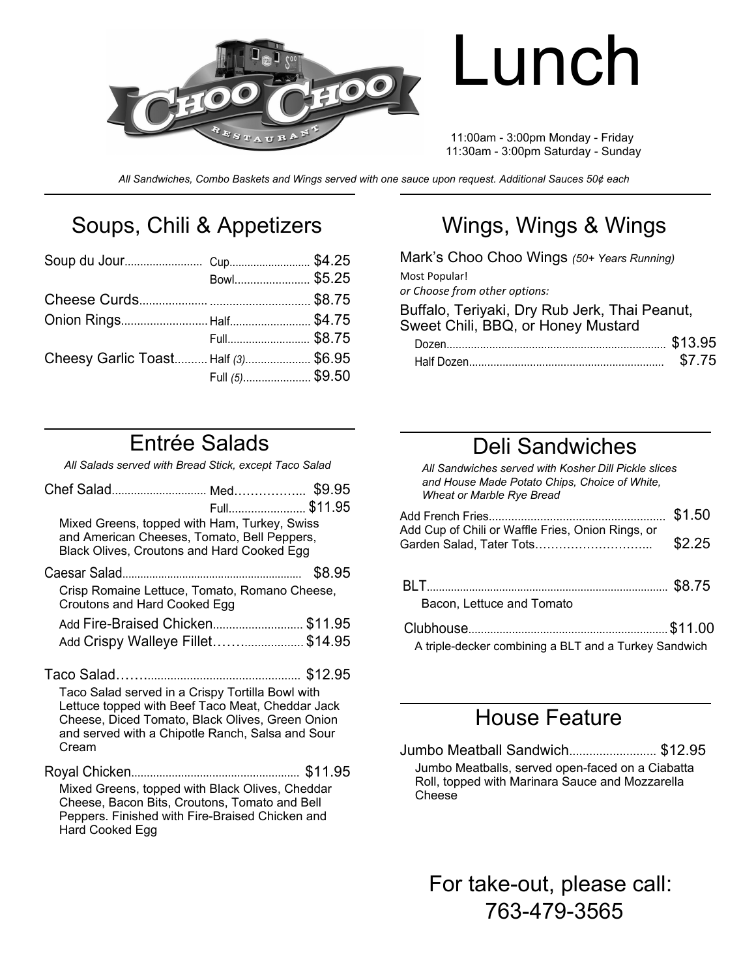

# Lunch

11:00am - 3:00pm Monday - Friday 11:30am - 3:00pm Saturday - Sunday

*All Sandwiches, Combo Baskets and Wings served with one sauce upon request. Additional Sauces 50¢ each*

## Soups, Chili & Appetizers

| Bowl\$5.25<br>Full \$8.75<br>Cheesy Garlic Toast Half (3) \$6.95<br>Full (5)\$9.50 |
|------------------------------------------------------------------------------------|

# Wings, Wings & Wings

| Mark's Choo Choo Wings (50+ Years Running)                                          |        |
|-------------------------------------------------------------------------------------|--------|
| Most Popular!<br>or Choose from other options:                                      |        |
|                                                                                     |        |
| Buffalo, Teriyaki, Dry Rub Jerk, Thai Peanut,<br>Sweet Chili, BBQ, or Honey Mustard |        |
|                                                                                     |        |
|                                                                                     | \$7.75 |

#### Entrée Salads

*All Salads served with Bread Stick, except Taco Salad*

|                                                                                                                                                                                                                      | Full \$11.95 |        |
|----------------------------------------------------------------------------------------------------------------------------------------------------------------------------------------------------------------------|--------------|--------|
| Mixed Greens, topped with Ham, Turkey, Swiss<br>and American Cheeses, Tomato, Bell Peppers,<br>Black Olives, Croutons and Hard Cooked Egg                                                                            |              |        |
| Caesar Salad.                                                                                                                                                                                                        |              | \$8.95 |
| Crisp Romaine Lettuce, Tomato, Romano Cheese,<br>Croutons and Hard Cooked Egg                                                                                                                                        |              |        |
| Add Fire-Braised Chicken \$11.95                                                                                                                                                                                     |              |        |
| Add Crispy Walleye Fillet\$14.95                                                                                                                                                                                     |              |        |
| Taco Salad served in a Crispy Tortilla Bowl with<br>Lettuce topped with Beef Taco Meat, Cheddar Jack<br>Cheese, Diced Tomato, Black Olives, Green Onion<br>and served with a Chipotle Ranch, Salsa and Sour<br>Cream |              |        |
| Mixed Greens, topped with Black Olives, Cheddar<br>Cheese, Bacon Bits, Croutons, Tomato and Bell<br>Peppers. Finished with Fire-Braised Chicken and                                                                  |              |        |

Hard Cooked Egg

#### Deli Sandwiches

*All Sandwiches served with Kosher Dill Pickle slices and House Made Potato Chips, Choice of White, Wheat or Marble Rye Bread*

| Add Cup of Chili or Waffle Fries, Onion Rings, or     | \$1.50 |
|-------------------------------------------------------|--------|
|                                                       | \$2.25 |
| Bacon, Lettuce and Tomato                             |        |
| A triple-decker combining a BLT and a Turkey Sandwich |        |

#### House Feature

Jumbo Meatball Sandwich.......................... \$12.95 Jumbo Meatballs, served open-faced on a Ciabatta Roll, topped with Marinara Sauce and Mozzarella Cheese

For take-out, please call: 763-479-3565